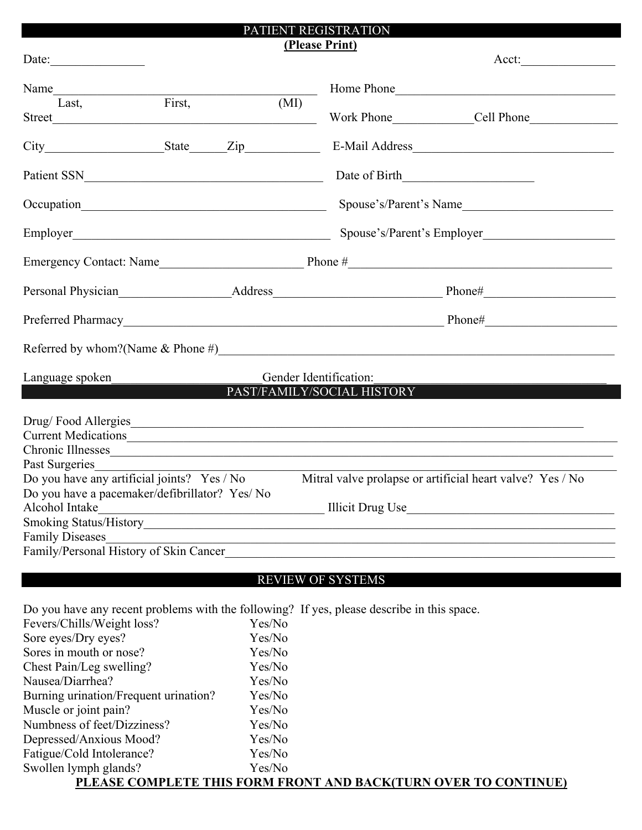|                                                                                                                                                                                                                                                                                                                                                     |        |                                                                                                            | PATIENT REGISTRATION                                                                                                                                          |  |  |
|-----------------------------------------------------------------------------------------------------------------------------------------------------------------------------------------------------------------------------------------------------------------------------------------------------------------------------------------------------|--------|------------------------------------------------------------------------------------------------------------|---------------------------------------------------------------------------------------------------------------------------------------------------------------|--|--|
| Date:                                                                                                                                                                                                                                                                                                                                               |        |                                                                                                            | (Please Print)                                                                                                                                                |  |  |
| Last,                                                                                                                                                                                                                                                                                                                                               | First, | (MI)                                                                                                       | Home Phone                                                                                                                                                    |  |  |
|                                                                                                                                                                                                                                                                                                                                                     |        |                                                                                                            | E-Mail Address                                                                                                                                                |  |  |
|                                                                                                                                                                                                                                                                                                                                                     |        |                                                                                                            |                                                                                                                                                               |  |  |
|                                                                                                                                                                                                                                                                                                                                                     |        |                                                                                                            | Spouse's/Parent's Name                                                                                                                                        |  |  |
|                                                                                                                                                                                                                                                                                                                                                     |        |                                                                                                            | Spouse's/Parent's Employer                                                                                                                                    |  |  |
|                                                                                                                                                                                                                                                                                                                                                     |        |                                                                                                            |                                                                                                                                                               |  |  |
|                                                                                                                                                                                                                                                                                                                                                     |        |                                                                                                            |                                                                                                                                                               |  |  |
|                                                                                                                                                                                                                                                                                                                                                     |        |                                                                                                            |                                                                                                                                                               |  |  |
|                                                                                                                                                                                                                                                                                                                                                     |        |                                                                                                            | Referred by whom?(Name $\&$ Phone #)                                                                                                                          |  |  |
| Language spoken                                                                                                                                                                                                                                                                                                                                     |        |                                                                                                            | Gender Identification:<br>PAST/FAMILY/SOCIAL HISTORY                                                                                                          |  |  |
| Drug/Food Allergies<br>Current Medications<br>Chronic Illnesses<br>Past Surgeries<br>Do you have any artificial joints? Yes / No<br>Do you have a pacemaker/defibrillator? Yes/ No<br>Alcohol Intake<br><u> 1989 - Johann Stoff, Amerikaansk politiker (</u><br><b>Family Diseases</b><br>Family Diseases<br>Family/Personal History of Skin Cancer |        |                                                                                                            | Mitral valve prolapse or artificial heart valve? Yes / No                                                                                                     |  |  |
|                                                                                                                                                                                                                                                                                                                                                     |        |                                                                                                            | <b>REVIEW OF SYSTEMS</b>                                                                                                                                      |  |  |
| Fevers/Chills/Weight loss?<br>Sore eyes/Dry eyes?<br>Sores in mouth or nose?<br>Chest Pain/Leg swelling?<br>Nausea/Diarrhea?<br>Burning urination/Frequent urination?<br>Muscle or joint pain?<br>Numbness of feet/Dizziness?<br>Depressed/Anxious Mood?<br>Fatigue/Cold Intolerance?<br>Swollen lymph glands?                                      |        | Yes/No<br>Yes/No<br>Yes/No<br>Yes/No<br>Yes/No<br>Yes/No<br>Yes/No<br>Yes/No<br>Yes/No<br>Yes/No<br>Yes/No | Do you have any recent problems with the following? If yes, please describe in this space.<br>PLEASE COMPLETE THIS FORM FRONT AND BACK(TURN OVER TO CONTINUE) |  |  |